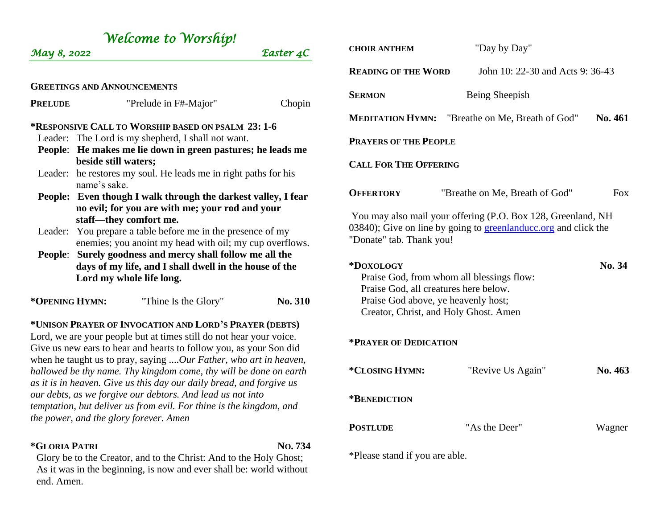| Welcome to Worship!<br>May 8, 2022                                                                                                                                                                                                                                                                                                                                                                                                                                                                                                                        |                                                               | Easter 4C | <b>CHOIR ANTHEM</b>                                                                                                                                         | "Day by Day"                          |            |
|-----------------------------------------------------------------------------------------------------------------------------------------------------------------------------------------------------------------------------------------------------------------------------------------------------------------------------------------------------------------------------------------------------------------------------------------------------------------------------------------------------------------------------------------------------------|---------------------------------------------------------------|-----------|-------------------------------------------------------------------------------------------------------------------------------------------------------------|---------------------------------------|------------|
|                                                                                                                                                                                                                                                                                                                                                                                                                                                                                                                                                           |                                                               |           | <b>READING OF THE WORD</b>                                                                                                                                  | John 10: 22-30 and Acts 9: 36-43      |            |
|                                                                                                                                                                                                                                                                                                                                                                                                                                                                                                                                                           | <b>GREETINGS AND ANNOUNCEMENTS</b>                            |           |                                                                                                                                                             |                                       |            |
| <b>PRELUDE</b>                                                                                                                                                                                                                                                                                                                                                                                                                                                                                                                                            | "Prelude in F#-Major"                                         | Chopin    | <b>SERMON</b>                                                                                                                                               | Being Sheepish                        |            |
| *RESPONSIVE CALL TO WORSHIP BASED ON PSALM 23: 1-6                                                                                                                                                                                                                                                                                                                                                                                                                                                                                                        |                                                               |           | <b>MEDITATION HYMN:</b>                                                                                                                                     | "Breathe on Me, Breath of God"        | No. 461    |
| Leader: The Lord is my shepherd, I shall not want.<br>People: He makes me lie down in green pastures; he leads me                                                                                                                                                                                                                                                                                                                                                                                                                                         |                                                               |           | <b>PRAYERS OF THE PEOPLE</b>                                                                                                                                |                                       |            |
| beside still waters;<br>Leader: he restores my soul. He leads me in right paths for his<br>name's sake.                                                                                                                                                                                                                                                                                                                                                                                                                                                   |                                                               |           | <b>CALL FOR THE OFFERING</b>                                                                                                                                |                                       |            |
|                                                                                                                                                                                                                                                                                                                                                                                                                                                                                                                                                           | People: Even though I walk through the darkest valley, I fear |           | <b>OFFERTORY</b>                                                                                                                                            | "Breathe on Me, Breath of God"        | <b>Fox</b> |
| no evil; for you are with me; your rod and your<br>staff-they comfort me.<br>Leader: You prepare a table before me in the presence of my<br>enemies; you anoint my head with oil; my cup overflows.<br>People: Surely goodness and mercy shall follow me all the<br>days of my life, and I shall dwell in the house of the<br>Lord my whole life long.                                                                                                                                                                                                    |                                                               |           | You may also mail your offering (P.O. Box 128, Greenland, NH<br>03840); Give on line by going to greenlanduce org and click the<br>"Donate" tab. Thank you! |                                       |            |
|                                                                                                                                                                                                                                                                                                                                                                                                                                                                                                                                                           |                                                               |           | *DOXOLOGY<br>Praise God, from whom all blessings flow:<br>Praise God, all creatures here below.                                                             |                                       | No. 34     |
| *OPENING HYMN:                                                                                                                                                                                                                                                                                                                                                                                                                                                                                                                                            | "Thine Is the Glory"                                          | No. 310   | Praise God above, ye heavenly host;                                                                                                                         | Creator, Christ, and Holy Ghost. Amen |            |
| *UNISON PRAYER OF INVOCATION AND LORD'S PRAYER (DEBTS)<br>Lord, we are your people but at times still do not hear your voice.<br>Give us new ears to hear and hearts to follow you, as your Son did<br>when he taught us to pray, saying Our Father, who art in heaven,<br>hallowed be thy name. Thy kingdom come, thy will be done on earth<br>as it is in heaven. Give us this day our daily bread, and forgive us<br>our debts, as we forgive our debtors. And lead us not into<br>temptation, but deliver us from evil. For thine is the kingdom, and |                                                               |           | *PRAYER OF DEDICATION                                                                                                                                       |                                       |            |
|                                                                                                                                                                                                                                                                                                                                                                                                                                                                                                                                                           |                                                               |           | *CLOSING HYMN:                                                                                                                                              | "Revive Us Again"                     | No. 463    |
|                                                                                                                                                                                                                                                                                                                                                                                                                                                                                                                                                           |                                                               |           | *BENEDICTION                                                                                                                                                |                                       |            |
|                                                                                                                                                                                                                                                                                                                                                                                                                                                                                                                                                           | the power, and the glory forever. Amen                        |           | <b>POSTLUDE</b>                                                                                                                                             | "As the Deer"                         | Wagner     |
| *GLORIA PATRI<br>No.734<br>Glory be to the Creator, and to the Christ: And to the Holy Ghost;                                                                                                                                                                                                                                                                                                                                                                                                                                                             |                                                               |           | *Please stand if you are able.                                                                                                                              |                                       |            |

As it was in the beginning, is now and ever shall be: world without

end. Amen.